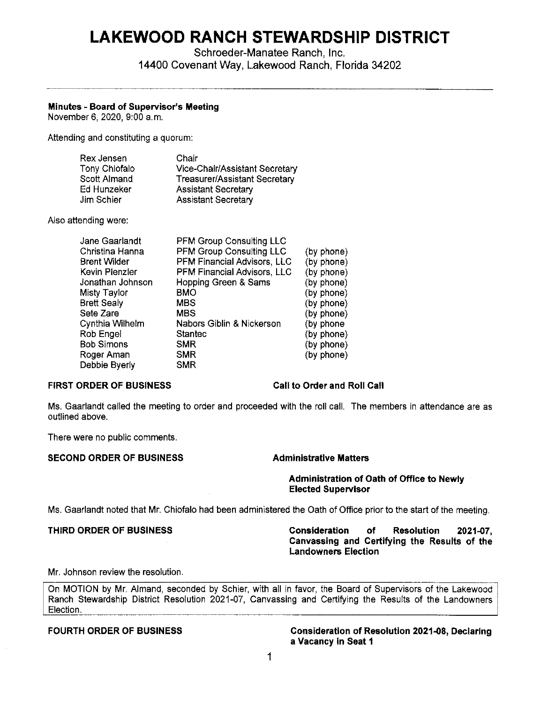# **LAKEWOOD RANCH STEWARDSHIP DISTRICT**

Schroeder-Manatee Ranch, Inc. 14400 Covenant Way, Lakewood Ranch, Florida 34202

### **Minutes - Board of Supervisor's Meeting**

November 6, 2020, 9:00 a.m.

Attending and constituting a quorum:

| Rex Jensen    | Chair                                |
|---------------|--------------------------------------|
| Tony Chiofalo | Vice-Chair/Assistant Secretary       |
| Scott Almand  | <b>Treasurer/Assistant Secretary</b> |
| Ed Hunzeker   | <b>Assistant Secretary</b>           |
| Jim Schier    | <b>Assistant Secretary</b>           |

Also attending were:

| Jane Gaarlandt      | <b>PFM Group Consulting LLC</b>    |            |
|---------------------|------------------------------------|------------|
| Christina Hanna     | <b>PFM Group Consulting LLC</b>    | (by phone) |
| <b>Brent Wilder</b> | <b>PFM Financial Advisors, LLC</b> | (by phone) |
| Kevin Plenzler      | PFM Financial Advisors, LLC        | (by phone) |
| Jonathan Johnson    | Hopping Green & Sams               | (by phone) |
| Misty Taylor        | <b>BMO</b>                         | (by phone) |
| Brett Sealv         | <b>MBS</b>                         | (by phone) |
| Sete Zare           | <b>MBS</b>                         | (by phone) |
| Cynthia Wilhelm     | Nabors Giblin & Nickerson          | (by phone  |
| Rob Engel           | <b>Stantec</b>                     | (by phone) |
| Bob Simons          | <b>SMR</b>                         | (by phone) |
| Roger Aman          | <b>SMR</b>                         | (by phone) |
| Debbie Byerly       | <b>SMR</b>                         |            |
|                     |                                    |            |

### **FIRST ORDER OF BUSINESS Call to Order and Roll Call**

Ms. Gaarlandt called the meeting to order and proceeded with the roll call. The members in attendance are as outlined above.

There were no public comments.

### **SECOND ORDER OF BUSINESS Administrative Matters**

**Administration of Oath of Office to Newly Elected Supervisor** 

Ms. Gaarlandt noted that Mr. Chiofalo had been administered the Oath of Office prior to the start of the meeting.

**THIRD ORDER OF BUSINESS Consideration of Resolution 2021-07, Canvassing and Certifying the Results of the Landowners Election** 

### Mr. Johnson review the resolution.

On MOTION by Mr. Almand, seconded by Schier, with all in favor, the Board of Supervisors of the Lakewood Ranch Stewardship District Resolution 2021-07, Canvassing and Certifying the Results of the Landowners Election.

**FOURTH ORDER OF BUSINESS Consideration of Resolution 2021-08, Declaring a Vacancy in Seat 1**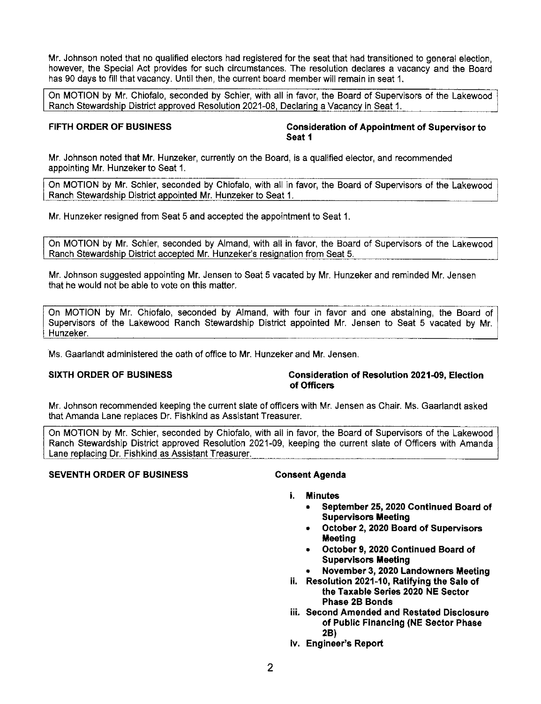Mr. Johnson noted that no qualified electors had registered for the seat that had transitioned to general election, however, the Special Act provides for such circumstances. The resolution declares a vacancy and the Board has 90 days to fill that vacancy. Until then, the current board member will remain in seat 1.

On MOTION by Mr. Chiofalo, seconded by Schier, with all in favor, the Board of Supervisors of the Lakewood Ranch Stewardship District approved Resolution 2021-08, Declaring a Vacancy in Seat 1.

**FIFTH ORDER OF BUSINESS Consideration of Appointment of Supervisor to Seat 1** 

Mr. Johnson noted that Mr. Hunzeker, currently on the Board, is a qualified elector, and recommended appointing Mr. Hunzeker to Seat 1.

On MOTION by Mr. Schier, seconded by Chiofalo, with all in favor, the Board of Supervisors of the Lakewood Ranch Stewardship District appointed Mr. Hunzeker to Seat 1.

Mr. Hunzeker resigned from Seat 5 and accepted the appointment to Seat 1.

On MOTION by Mr. Schier, seconded by Almand, with all in favor, the Board of Supervisors of the Lakewood Ranch Stewardship District accepted Mr. Hunzeker's resignation from Seat 5.

Mr. Johnson suggested appointing Mr. Jensen to Seat 5 vacated by Mr. Hunzeker and reminded Mr. Jensen that he would not be able to vote on this matter.

On MOTION by Mr. Chiofalo, seconded by Almand, with four in favor and one abstaining, the Board of Supervisors of the Lakewood Ranch Stewardship District appointed Mr. Jensen to Seat 5 vacated by Mr. Hunzeker.

Ms. Gaarlandt administered the oath of office to Mr. Hunzeker and Mr. Jensen.

### **SIXTH ORDER OF BUSINESS CONSIDERED Consideration of Resolution 2021-09, Election of Officers**

Mr. Johnson recommended keeping the current slate of officers with Mr. Jensen as Chair. Ms. Gaarlandt asked that Amanda Lane replaces Dr. Fishkind as Assistant Treasurer.

On MOTION by Mr. Schier, seconded by Chiofalo, with all in favor, the Board of Supervisors of the Lakewood Ranch Stewardship District approved Resolution 2021-09, keeping the current slate of Officers with Amanda Lane replacing Dr. Fishkind as Assistant Treasurer.

### **SEVENTH ORDER OF BUSINESS Consent Agenda**

- **i. Minutes** 
	- **September 25, 2020 Continued Board of Supervisors Meeting**
	- **October 2, 2020 Board of Supervisors Meeting**
	- **October 9, 2020 Continued Board of Supervisors Meeting**
	- **November 3, 2020 Landowners Meeting**
- **ii. Resolution 2021-10, Ratifying the Sale of the Taxable Series 2020 NE Sector Phase 2B Bonds**
- **iii. Second Amended and Restated Disclosure of Public Financing (NE Sector Phase 2B)**
- Iv. **Engineer's Report**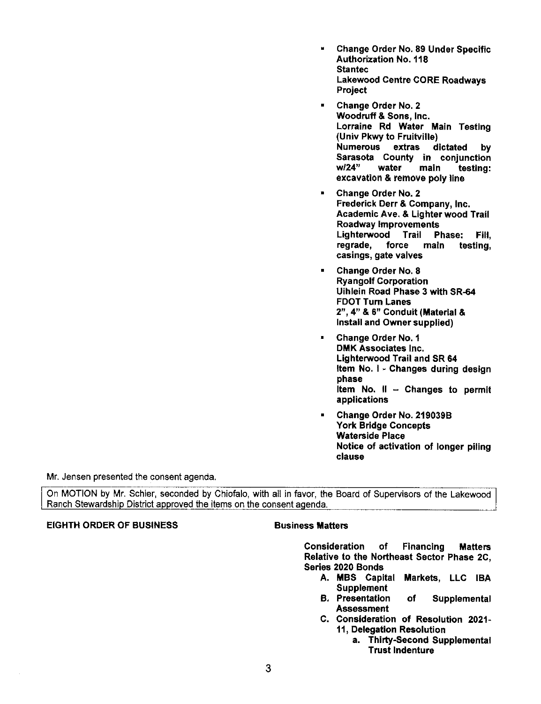- Change Order No. 89 Under Specific Authorization No. 118 **Stantec** Lakewood Centre CORE Roadways Project
- Change Order No. 2 Woodruff & Sons, Inc. Lorraine Rd Water **Main** Testing (Univ Pkwy to Fruitville) Numerous extras dictated by Sarasota County in conjunction<br>w/24" water main testing: testing: excavation & remove poly line
- Change Order No. 2 Frederick Derr & Company, Inc. Academic Ave. & Lighter wood Trail Roadway Improvements Lighterwood Trail Phase: Fill,<br>regrade, force main testing, main testing, casings, gate valves
- Change Order No. 8 Ryangolf Corporation Uihlein Road Phase 3 with SR-64 FOOT Turn Lanes 2", 4" & 6" Conduit (Material & Install and Owner supplied)
- Change Order No. 1 DMK Associates Inc. Lighterwood Trail and SR 64 Item No. I • Changes during design phase Item No.  $II -$  Changes to permit applications
- Change Order No. 219039B York Bridge Concepts Waterside Place Notice of activation of longer piling clause

Mr. Jensen presented the consent agenda.

On MOTION by Mr. Schier, seconded by Chiofalo, with all in favor, the Board of Supervisors of the Lakewood Ranch Stewardship District approved the items on the consent agenda.

## EIGHTH ORDER OF BUSINESS **Business Matters**

Consideration of Financing Matters Relative to the Northeast Sector Phase 2C, Series 2020 Bonds

- **A. MBS** Capital Markets, LLC IBA **Supplement**
- B. Presentation of Supplemental Assessment
- C. Consideration of Resolution 2021· 11, Delegation Resolution
	- a. Thirty.Second Supplemental Trust Indenture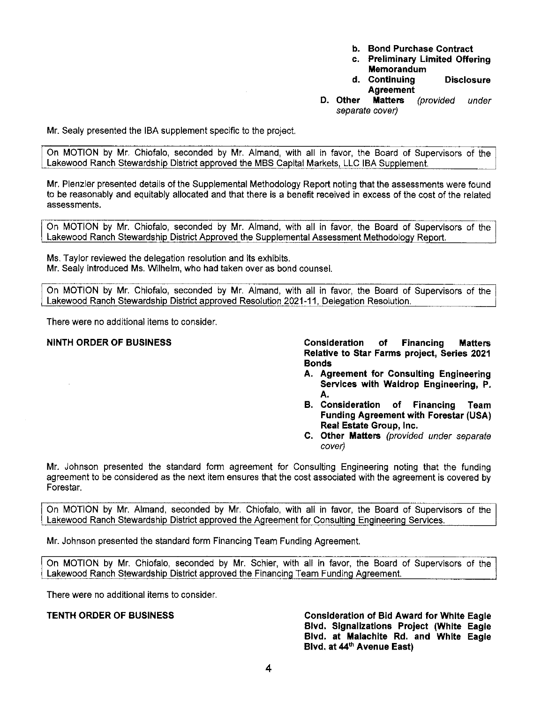- **b. Bond Purchase Contract**
- **c. Preliminary Limited Offering Memorandum**
- **d. Continuing Disclosure Agreement**
- **D. Other Matters** (provided under separate cover)

Mr. Sealy presented the IBA supplement specific to the project.

On MOTION by Mr. Chiofalo, seconded by Mr. Almand, with all in favor, the Board of Supervisors of the Lakewood Ranch Stewardship District approved the MBS Capital Markets, LLC IBA Supplement.

Mr. Plenzler presented details of the Supplemental Methodology Report noting that the assessments were found to be reasonably and equitably allocated and that there is a benefit received in excess of the cost of the related assessments.

On MOTION by Mr. Chiofalo, seconded by Mr. Almand, with all in favor, the Board of Supervisors of the Lakewood Ranch Stewardship District Approved the Supplemental Assessment Methodology Report.

Ms. Taylor reviewed the delegation resolution and its exhibits. Mr. Sealy introduced Ms. Wilhelm, who had taken over as bond counsel.

On MOTION by Mr. Chiofalo, seconded by Mr. Almand, with all in favor, the Board of Supervisors of the Lakewood Ranch Stewardship District approved Resolution 2021-11, Delegation Resolution.

There were no additional items to consider.

**NINTH ORDER OF BUSINESS Consideration of Financing Matters Relative to Star Farms project, Series 2021 Bonds** 

- **A. Agreement for Consulting Engineering Services with Waldrop Engineering, P. A.**
- **B. Consideration of Financing Team Funding Agreement with Forestar (USA) Real Estate Group, Inc.**
- **C. Other Matters** (provided under separate cover)

Mr. Johnson presented the standard form agreement for Consulting Engineering noting that the funding agreement to be considered as the next item ensures that the cost associated with the agreement is covered by Forestar.

On MOTION by Mr. Almand, seconded by Mr. Chiofalo, with all in favor, the Board of Supervisors of the Lakewood Ranch Stewards hip District approved the Agreement for Consulting Engineering Services.

Mr. Johnson presented the standard form Financing Team Funding Agreement.

On MOTION by Mr. Chiofalo, seconded by Mr. Schier, with all in favor, the Board of Supervisors of the Lakewood Ranch Stewardship District approved the Financing Team Funding Agreement.

There were no additional items to consider.

**TENTH ORDER OF BUSINESS Consideration of Bid Award for White Eagle Blvd. Signalizations Project (White Eagle Blvd. at Malachite Rd. and White Eagle**  Blvd. at 44<sup>th</sup> Avenue East)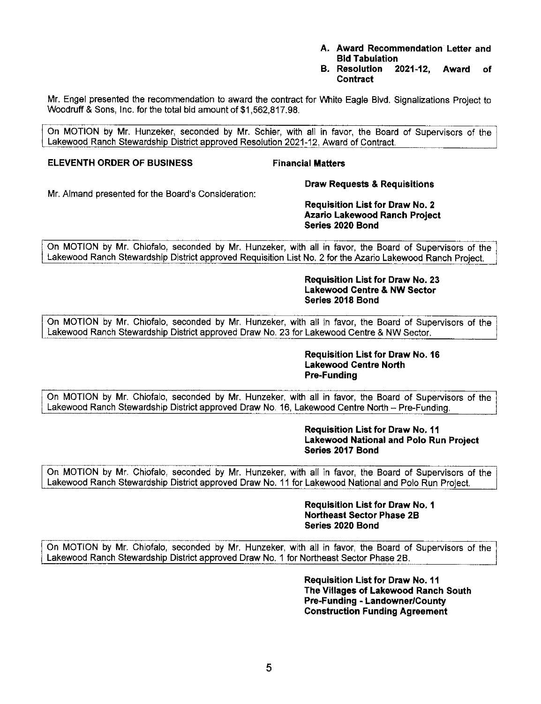- **A. Award Recommendation Letter and Bid Tabulation**
- **B. Resolution 2021-12, Award of Contract**

Mr. Engel presented the recommendation to award the contract for White Eagle Blvd. Signalizations Project to Woodruff & Sons, Inc. for the total bid amount of \$[1,562,817.98.](https://1,562,817.98)

On MOTION by Mr. Hunzeker, seconded by Mr. Schier, with all in favor, the Board of Supervisors of the Lakewood Ranch Stewardship District approved Resolution 2021-12, Award of Contract.

### **ELEVENTH ORDER OF BUSINESS Financial Matters**

**Draw Requests & Requisitions** 

Mr. Almand presented for the Board's Consideration:

### **Requisition List for Draw No. 2 Azario Lakewood Ranch Project Series 2020 Bond**

On MOTION by Mr. Chiofalo, seconded by Mr. Hunzeker, with all in favor, the Board of Supervisors of the Lakewood Ranch Stewardship District approved Requisition List No. 2 for the Azario Lakewood Ranch Project.

> **Requisition List for Draw No. 23 Lakewood Centre & NW Sector Series 2018 Bond**

On MOTION by Mr. Chiofalo, seconded by Mr. Hunzeker, with all in favor, the Board of Supervisors of the Lakewood Ranch Stewardship District approved Draw No. 23 for Lakewood Centre & NW Sector.

> **Requisition List for Draw No. 16 Lakewood Centre North Pre-Funding**

On MOTION by Mr. Chiofalo, seconded by Mr. Hunzeker, with all in favor, the Board of Supervisors of the Lakewood Ranch Stewardship District approved Draw No. 16, Lakewood Centre North - Pre-Funding.

### **Requisition List for Draw No. 11 Lakewood National and Polo Run Project Series 2017 Bond**

On MOTION by Mr. Chiofalo, seconded by Mr. Hunzeker, with all in favor, the Board of Supervisors of the Lakewood Ranch Stewardship District approved Draw No. 11 for Lakewood National and Polo Run Project.

> **Requisition List for Draw No. 1 Northeast Sector Phase 2B Series 2020 Bond**

On MOTION by Mr. Chiofalo, seconded by Mr. Hunzeker, with all in favor, the Board of Supervisors of the Lakewood Ranch Stewardship District approved Draw No. 1 for Northeast Sector Phase 2B.

> **Requisition List for Draw No. 11 The Villages of Lakewood Ranch South Pre-Funding - Landowner/County Construction Funding Agreement**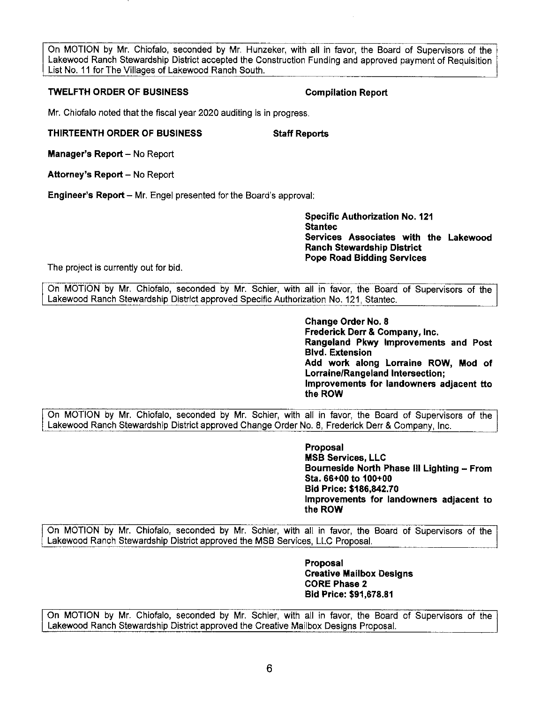On MOTION by Mr. Chiofalo, seconded by Mr. Hunzeker, with all in favor, the Board of Supervisors of the Lakewood Ranch Stewardship District accepted the Construction Funding and approved payment of Requisition List No. 11 for The Villages of Lakewood Ranch South.

### **TWELFTH ORDER OF BUSINESS COMPILATION COMPILATION Report**

Mr. Chiofalo noted that the fiscal year 2020 auditing is in progress.

### **THIRTEENTH ORDER OF BUSINESS Staff Reports**

**Manager's Report - No Report** 

**Attorney's Report - No Report** 

**Engineer's Report - Mr. Engel presented for the Board's approval:** 

**Specific Authorization No. 121 Stantec Services Associates with the Lakewood Ranch Stewardship District Pope Road Bidding Services** 

The project is currently out for bid.

On MOTION by Mr. Chiofalo, seconded by Mr. Schier, with all in favor, the Board of Supervisors of the Lakewood Ranch Stewardship District approved Specific Authorization No. 121, Staniec.

> **Change Order No. 8 Frederick Derr & Company, Inc. Rangeland Pkwy Improvements and Post Blvd. Extension Add work along Lorraine ROW, Mod of Lorraine/Rangeland Intersection; Improvements for landowners adjacent tto the ROW**

On MOTION by Mr. Chiofalo, seconded by Mr. Schier, with all in favor, the Board of Supervisors of the Lakewood Ranch Stewardship District approved Change Order No. 8, Frederick Derr & Company, Inc.

> **Proposal MSB Services, LLC Bourneside North Phase Ill Lighting - From Sta. 66+00 to 100+00 Bid Price: \$[186,842.70](https://186,842.70) Improvements for landowners adjacent to the ROW**

On MOTION by Mr. Chiofalo, seconded by Mr. Schier, with all in favor, the Board of Supervisors of the Lakewood Ranch Stewardship District approved the MSB Services, LLC Proposal.

> **Proposal Creative Mailbox Designs CORE Phase 2 Bid Price: \$[91,678.81](https://91,678.81)**

On MOTION by Mr. Chiofalo, seconded by Mr. Schier, with all in favor, the Board of Supervisors of the Lakewood Ranch Stewardship District approved the Creative Mailbox Designs Proposal.